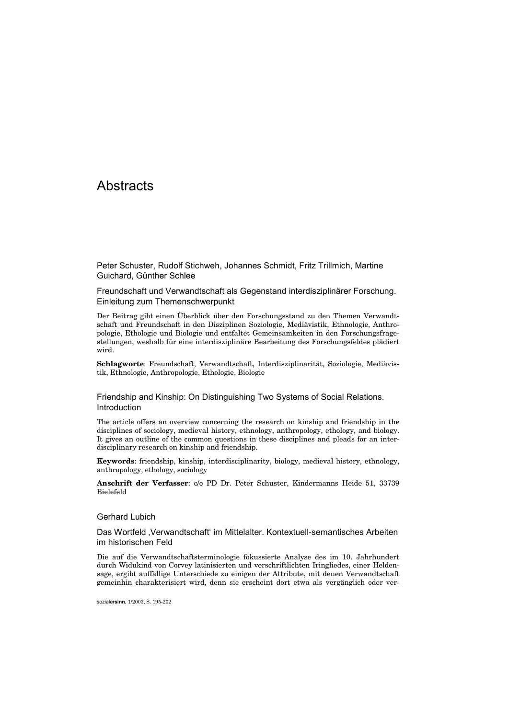# **Abstracts**

Peter Schuster, Rudolf Stichweh, Johannes Schmidt, Fritz Trillmich, Martine Guichard, Günther Schlee

Freundschaft und Verwandtschaft als Gegenstand interdisziplinärer Forschung. Einleitung zum Themenschwerpunkt

Der Beitrag gibt einen Überblick über den Forschungsstand zu den Themen Verwandtschaft und Freundschaft in den Disziplinen Soziologie, Mediävistik, Ethnologie, Anthropologie, Ethologie und Biologie und entfaltet Gemeinsamkeiten in den Forschungsfragestellungen, weshalb für eine interdisziplinäre Bearbeitung des Forschungsfeldes plädiert wird.

**Schlagworte**: Freundschaft, Verwandtschaft, Interdisziplinarität, Soziologie, Mediävistik, Ethnologie, Anthropologie, Ethologie, Biologie

Friendship and Kinship: On Distinguishing Two Systems of Social Relations. Introduction

The article offers an overview concerning the research on kinship and friendship in the disciplines of sociology, medieval history, ethnology, anthropology, ethology, and biology. It gives an outline of the common questions in these disciplines and pleads for an interdisciplinary research on kinship and friendship.

**Keywords**: friendship, kinship, interdisciplinarity, biology, medieval history, ethnology, anthropology, ethology, sociology

**Anschrift der Verfasser**: c/o PD Dr. Peter Schuster, Kindermanns Heide 51, 33739 Bielefeld

#### Gerhard Lubich

Das Wortfeld 'Verwandtschaft' im Mittelalter. Kontextuell-semantisches Arbeiten im historischen Feld

Die auf die Verwandtschaftsterminologie fokussierte Analyse des im 10. Jahrhundert durch Widukind von Corvey latinisierten und verschriftlichten Iringliedes, einer Heldensage, ergibt auffällige Unterschiede zu einigen der Attribute, mit denen Verwandtschaft gemeinhin charakterisiert wird, denn sie erscheint dort etwa als vergänglich oder ver-

sozialer**sinn**, 1/2003, S. 195-202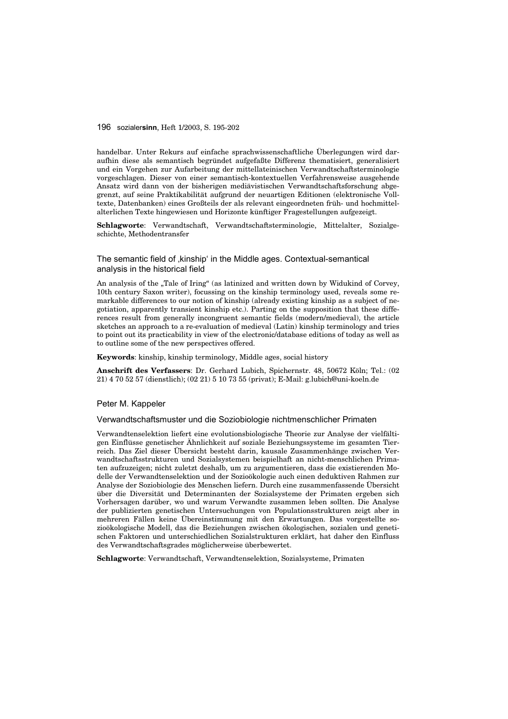handelbar. Unter Rekurs auf einfache sprachwissenschaftliche Überlegungen wird daraufhin diese als semantisch begründet aufgefaßte Differenz thematisiert, generalisiert und ein Vorgehen zur Aufarbeitung der mittellateinischen Verwandtschaftsterminologie vorgeschlagen. Dieser von einer semantisch-kontextuellen Verfahrensweise ausgehende Ansatz wird dann von der bisherigen mediävistischen Verwandtschaftsforschung abgegrenzt, auf seine Praktikabilität aufgrund der neuartigen Editionen (elektronische Volltexte, Datenbanken) eines Großteils der als relevant eingeordneten früh- und hochmittelalterlichen Texte hingewiesen und Horizonte künftiger Fragestellungen aufgezeigt.

**Schlagworte**: Verwandtschaft, Verwandtschaftsterminologie, Mittelalter, Sozialgeschichte, Methodentransfer

# The semantic field of kinship' in the Middle ages. Contextual-semantical analysis in the historical field

An analysis of the "Tale of Iring" (as latinized and written down by Widukind of Corvey, 10th century Saxon writer), focussing on the kinship terminology used, reveals some remarkable differences to our notion of kinship (already existing kinship as a subject of negotiation, apparently transient kinship etc.). Parting on the supposition that these differences result from generally incongruent semantic fields (modern/medieval), the article sketches an approach to a re-evaluation of medieval (Latin) kinship terminology and tries to point out its practicability in view of the electronic/database editions of today as well as to outline some of the new perspectives offered.

#### **Keywords**: kinship, kinship terminology, Middle ages, social history

**Anschrift des Verfassers**: Dr. Gerhard Lubich, Spichernstr. 48, 50672 Köln; Tel.: (02 21) 4 70 52 57 (dienstlich); (02 21) 5 10 73 55 (privat); E-Mail: g.lubich@uni-koeln.de

## Peter M. Kappeler

## Verwandtschaftsmuster und die Soziobiologie nichtmenschlicher Primaten

Verwandtenselektion liefert eine evolutionsbiologische Theorie zur Analyse der vielfältigen Einflüsse genetischer Ähnlichkeit auf soziale Beziehungssysteme im gesamten Tierreich. Das Ziel dieser Übersicht besteht darin, kausale Zusammenhänge zwischen Verwandtschaftsstrukturen und Sozialsystemen beispielhaft an nicht-menschlichen Primaten aufzuzeigen; nicht zuletzt deshalb, um zu argumentieren, dass die existierenden Modelle der Verwandtenselektion und der Sozioökologie auch einen deduktiven Rahmen zur Analyse der Soziobiologie des Menschen liefern. Durch eine zusammenfassende Übersicht über die Diversität und Determinanten der Sozialsysteme der Primaten ergeben sich Vorhersagen darüber, wo und warum Verwandte zusammen leben sollten. Die Analyse der publizierten genetischen Untersuchungen von Populationsstrukturen zeigt aber in mehreren Fällen keine Übereinstimmung mit den Erwartungen. Das vorgestellte sozioökologische Modell, das die Beziehungen zwischen ökologischen, sozialen und genetischen Faktoren und unterschiedlichen Sozialstrukturen erklärt, hat daher den Einfluss des Verwandtschaftsgrades möglicherweise überbewertet.

**Schlagworte**: Verwandtschaft, Verwandtenselektion, Sozialsysteme, Primaten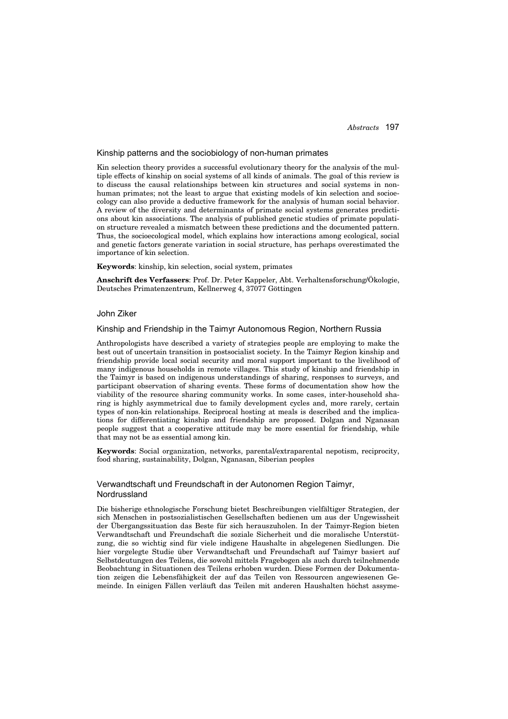#### Kinship patterns and the sociobiology of non-human primates

Kin selection theory provides a successful evolutionary theory for the analysis of the multiple effects of kinship on social systems of all kinds of animals. The goal of this review is to discuss the causal relationships between kin structures and social systems in nonhuman primates; not the least to argue that existing models of kin selection and socioecology can also provide a deductive framework for the analysis of human social behavior. A review of the diversity and determinants of primate social systems generates predictions about kin associations. The analysis of published genetic studies of primate population structure revealed a mismatch between these predictions and the documented pattern. Thus, the socioecological model, which explains how interactions among ecological, social and genetic factors generate variation in social structure, has perhaps overestimated the importance of kin selection.

**Keywords**: kinship, kin selection, social system, primates

**Anschrift des Verfassers**: Prof. Dr. Peter Kappeler, Abt. Verhaltensforschung/Ökologie, Deutsches Primatenzentrum, Kellnerweg 4, 37077 Göttingen

# John Ziker

#### Kinship and Friendship in the Taimyr Autonomous Region, Northern Russia

Anthropologists have described a variety of strategies people are employing to make the best out of uncertain transition in postsocialist society. In the Taimyr Region kinship and friendship provide local social security and moral support important to the livelihood of many indigenous households in remote villages. This study of kinship and friendship in the Taimyr is based on indigenous understandings of sharing, responses to surveys, and participant observation of sharing events. These forms of documentation show how the viability of the resource sharing community works. In some cases, inter-household sharing is highly asymmetrical due to family development cycles and, more rarely, certain types of non-kin relationships. Reciprocal hosting at meals is described and the implications for differentiating kinship and friendship are proposed. Dolgan and Nganasan people suggest that a cooperative attitude may be more essential for friendship, while that may not be as essential among kin.

**Keywords**: Social organization, networks, parental/extraparental nepotism, reciprocity, food sharing, sustainability, Dolgan, Nganasan, Siberian peoples

# Verwandtschaft und Freundschaft in der Autonomen Region Taimyr, Nordrussland

Die bisherige ethnologische Forschung bietet Beschreibungen vielfältiger Strategien, der sich Menschen in postsozialistischen Gesellschaften bedienen um aus der Ungewissheit der Übergangssituation das Beste für sich herauszuholen. In der Taimyr-Region bieten Verwandtschaft und Freundschaft die soziale Sicherheit und die moralische Unterstützung, die so wichtig sind für viele indigene Haushalte in abgelegenen Siedlungen. Die hier vorgelegte Studie über Verwandtschaft und Freundschaft auf Taimyr basiert auf Selbstdeutungen des Teilens, die sowohl mittels Fragebogen als auch durch teilnehmende Beobachtung in Situationen des Teilens erhoben wurden. Diese Formen der Dokumentation zeigen die Lebensfähigkeit der auf das Teilen von Ressourcen angewiesenen Gemeinde. In einigen Fällen verläuft das Teilen mit anderen Haushalten höchst assyme-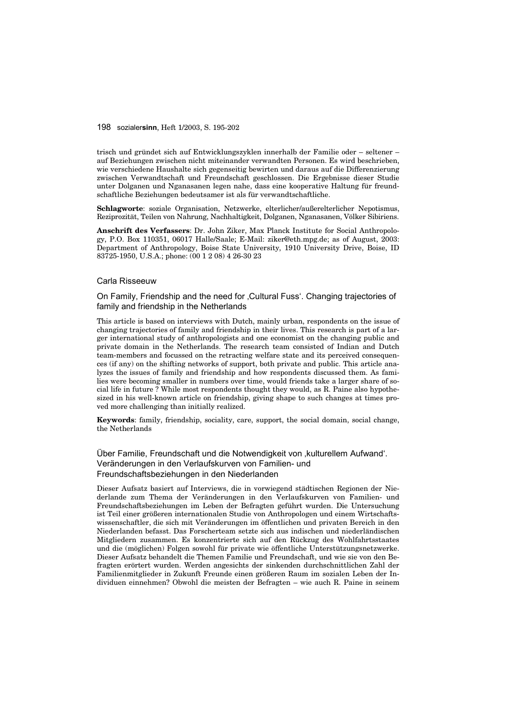trisch und gründet sich auf Entwicklungszyklen innerhalb der Familie oder – seltener – auf Beziehungen zwischen nicht miteinander verwandten Personen. Es wird beschrieben, wie verschiedene Haushalte sich gegenseitig bewirten und daraus auf die Differenzierung zwischen Verwandtschaft und Freundschaft geschlossen. Die Ergebnisse dieser Studie unter Dolganen und Nganasanen legen nahe, dass eine kooperative Haltung für freundschaftliche Beziehungen bedeutsamer ist als für verwandtschaftliche.

**Schlagworte**: soziale Organisation, Netzwerke, elterlicher/außerelterlicher Nepotismus, Reziprozität, Teilen von Nahrung, Nachhaltigkeit, Dolganen, Nganasanen, Völker Sibiriens.

**Anschrift des Verfassers**: Dr. John Ziker, Max Planck Institute for Social Anthropology, P.O. Box 110351, 06017 Halle/Saale; E-Mail: ziker@eth.mpg.de; as of August, 2003: Department of Anthropology, Boise State University, 1910 University Drive, Boise, ID 83725-1950, U.S.A.; phone: (00 1 2 08) 4 26-30 23

# Carla Risseeuw

On Family, Friendship and the need for 'Cultural Fuss'. Changing trajectories of family and friendship in the Netherlands

This article is based on interviews with Dutch, mainly urban, respondents on the issue of changing trajectories of family and friendship in their lives. This research is part of a larger international study of anthropologists and one economist on the changing public and private domain in the Netherlands. The research team consisted of Indian and Dutch team-members and focussed on the retracting welfare state and its perceived consequences (if any) on the shifting networks of support, both private and public. This article analyzes the issues of family and friendship and how respondents discussed them. As families were becoming smaller in numbers over time, would friends take a larger share of social life in future ? While most respondents thought they would, as R. Paine also hypothesized in his well-known article on friendship, giving shape to such changes at times proved more challenging than initially realized.

**Keywords**: family, friendship, sociality, care, support, the social domain, social change, the Netherlands

Über Familie, Freundschaft und die Notwendigkeit von 'kulturellem Aufwand'. Veränderungen in den Verlaufskurven von Familien- und Freundschaftsbeziehungen in den Niederlanden

Dieser Aufsatz basiert auf Interviews, die in vorwiegend städtischen Regionen der Niederlande zum Thema der Veränderungen in den Verlaufskurven von Familien- und Freundschaftsbeziehungen im Leben der Befragten geführt wurden. Die Untersuchung ist Teil einer größeren internationalen Studie von Anthropologen und einem Wirtschaftswissenschaftler, die sich mit Veränderungen im öffentlichen und privaten Bereich in den Niederlanden befasst. Das Forscherteam setzte sich aus indischen und niederländischen Mitgliedern zusammen. Es konzentrierte sich auf den Rückzug des Wohlfahrtsstaates und die (möglichen) Folgen sowohl für private wie öffentliche Unterstützungsnetzwerke. Dieser Aufsatz behandelt die Themen Familie und Freundschaft, und wie sie von den Befragten erörtert wurden. Werden angesichts der sinkenden durchschnittlichen Zahl der Familienmitglieder in Zukunft Freunde einen größeren Raum im sozialen Leben der Individuen einnehmen? Obwohl die meisten der Befragten – wie auch R. Paine in seinem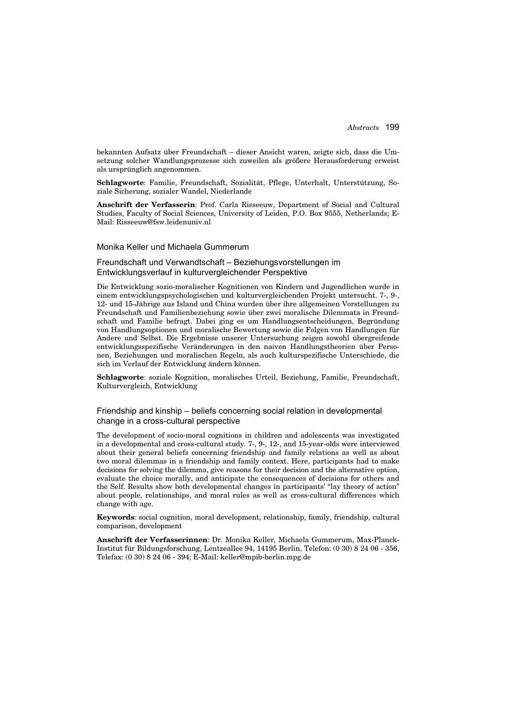bekannten Aufsatz über Freundschaft – dieser Ansicht waren, zeigte sich, dass die Umsetzung solcher Wandlungsprozesse sich zuweilen als größere Herausforderung erweist als ursprünglich angenommen.

**Schlagworte**: Familie, Freundschaft, Sozialität, Pflege, Unterhalt, Unterstützung, Soziale Sicherung, sozialer Wandel, Niederlande

**Anschrift der Verfasserin**: Prof. Carla Risseeuw, Department of Social and Cultural Studies, Faculty of Social Sciences, University of Leiden, P.O. Box 9555, Netherlands; E-Mail: Risseeuw@fsw.leidenuniv.nl

## Monika Keller und Michaela Gummerum

## Freundschaft und Verwandtschaft – Beziehungsvorstellungen im Entwicklungsverlauf in kulturvergleichender Perspektive

Die Entwicklung sozio-moralischer Kognitionen von Kindern und Jugendlichen wurde in einem entwicklungspsychologischen und kulturvergleichenden Projekt untersucht. 7-, 9-, 12- und 15-Jährige aus Island und China wurden über ihre allgemeinen Vorstellungen zu Freundschaft und Familienbeziehung sowie über zwei moralische Dilemmata in Freundschaft und Familie befragt. Dabei ging es um Handlungsentscheidungen, Begründung von Handlungsoptionen und moralische Bewertung sowie die Folgen von Handlungen für Andere und Selbst. Die Ergebnisse unserer Untersuchung zeigen sowohl übergreifende entwicklungsspezifische Veränderungen in den naiven Handlungstheorien über Personen, Beziehungen und moralischen Regeln, als auch kulturspezifische Unterschiede, die sich im Verlauf der Entwicklung ändern können.

**Schlagworte**: soziale Kognition, moralisches Urteil, Beziehung, Familie, Freundschaft, Kulturvergleich, Entwicklung

# Friendship and kinship – beliefs concerning social relation in developmental change in a cross-cultural perspective

The development of socio-moral cognitions in children and adolescents was investigated in a developmental and cross-cultural study. 7-, 9-, 12-, and 15-year-olds were interviewed about their general beliefs concerning friendship and family relations as well as about two moral dilemmas in a friendship and family context. Here, participants had to make decisions for solving the dilemma, give reasons for their decision and the alternative option, evaluate the choice morally, and anticipate the consequences of decisions for others and the Self. Results show both developmental changes in participants' "lay theory of action" about people, relationships, and moral rules as well as cross-cultural differences which change with age.

**Keywords**: social cognition, moral development, relationship, family, friendship, cultural comparison, development

**Anschrift der Verfasserinnen**: Dr. Monika Keller, Michaela Gummerum, Max-Planck-Institut für Bildungsforschung, Lentzeallee 94, 14195 Berlin, Telefon: (0 30) 8 24 06 - 356, Telefax: (0 30) 8 24 06 - 394; E-Mail: keller@mpib-berlin.mpg.de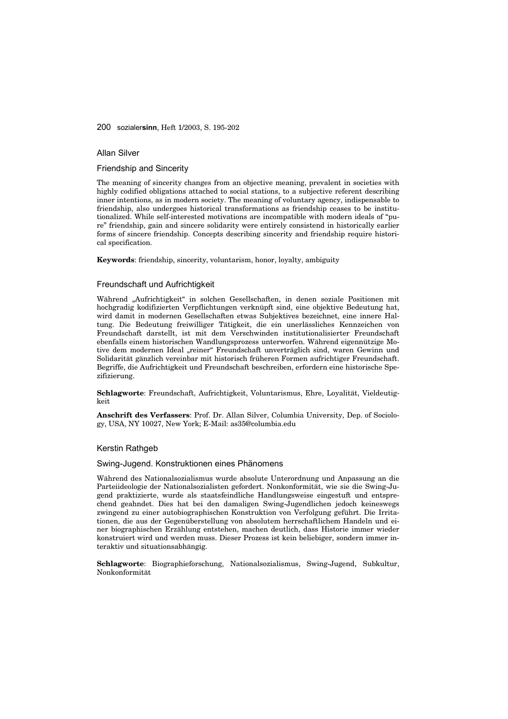#### Allan Silver

Friendship and Sincerity

The meaning of sincerity changes from an objective meaning, prevalent in societies with highly codified obligations attached to social stations, to a subjective referent describing inner intentions, as in modern society. The meaning of voluntary agency, indispensable to friendship, also undergoes historical transformations as friendship ceases to be institutionalized. While self-interested motivations are incompatible with modern ideals of "pure" friendship, gain and sincere solidarity were entirely consistend in historically earlier forms of sincere friendship. Concepts describing sincerity and friendship require historical specification.

**Keywords**: friendship, sincerity, voluntarism, honor, loyalty, ambiguity

# Freundschaft und Aufrichtigkeit

Während "Aufrichtigkeit" in solchen Gesellschaften, in denen soziale Positionen mit hochgradig kodifizierten Verpflichtungen verknüpft sind, eine objektive Bedeutung hat, wird damit in modernen Gesellschaften etwas Subjektives bezeichnet, eine innere Haltung. Die Bedeutung freiwilliger Tätigkeit, die ein unerlässliches Kennzeichen von Freundschaft darstellt, ist mit dem Verschwinden institutionalisierter Freundschaft ebenfalls einem historischen Wandlungsprozess unterworfen. Während eigennützige Motive dem modernen Ideal "reiner" Freundschaft unverträglich sind, waren Gewinn und Solidarität gänzlich vereinbar mit historisch früheren Formen aufrichtiger Freundschaft. Begriffe, die Aufrichtigkeit und Freundschaft beschreiben, erfordern eine historische Spezifizierung.

**Schlagworte**: Freundschaft, Aufrichtigkeit, Voluntarismus, Ehre, Loyalität, Vieldeutigkeit

**Anschrift des Verfassers**: Prof. Dr. Allan Silver, Columbia University, Dep. of Sociology, USA, NY 10027, New York; E-Mail: as35@columbia.edu

# Kerstin Rathgeb

#### Swing-Jugend. Konstruktionen eines Phänomens

Während des Nationalsozialismus wurde absolute Unterordnung und Anpassung an die Parteiideologie der Nationalsozialisten gefordert. Nonkonformität, wie sie die Swing-Jugend praktizierte, wurde als staatsfeindliche Handlungsweise eingestuft und entsprechend geahndet. Dies hat bei den damaligen Swing-Jugendlichen jedoch keineswegs zwingend zu einer autobiographischen Konstruktion von Verfolgung geführt. Die Irritationen, die aus der Gegenüberstellung von absolutem herrschaftlichem Handeln und einer biographischen Erzählung entstehen, machen deutlich, dass Historie immer wieder konstruiert wird und werden muss. Dieser Prozess ist kein beliebiger, sondern immer interaktiv und situationsabhängig.

**Schlagworte**: Biographieforschung, Nationalsozialismus, Swing-Jugend, Subkultur, Nonkonformität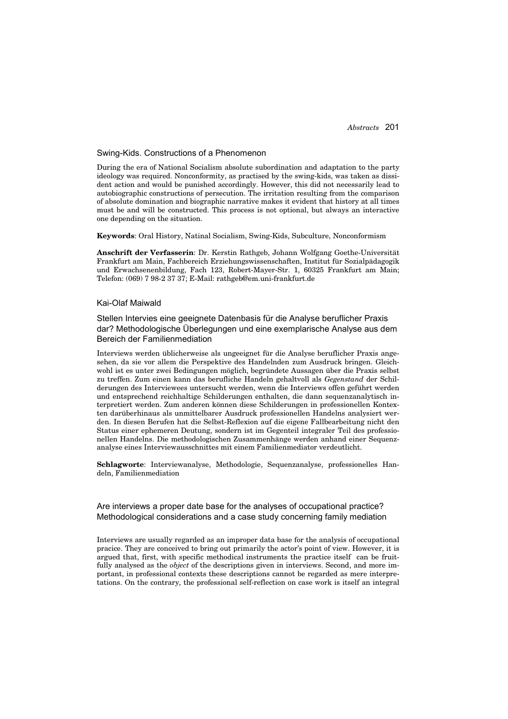#### Swing-Kids. Constructions of a Phenomenon

During the era of National Socialism absolute subordination and adaptation to the party ideology was required. Nonconformity, as practised by the swing-kids, was taken as dissident action and would be punished accordingly. However, this did not necessarily lead to autobiographic constructions of persecution. The irritation resulting from the comparison of absolute domination and biographic narrative makes it evident that history at all times must be and will be constructed. This process is not optional, but always an interactive one depending on the situation.

**Keywords**: Oral History, Natinal Socialism, Swing-Kids, Subculture, Nonconformism

**Anschrift der Verfasserin**: Dr. Kerstin Rathgeb, Johann Wolfgang Goethe-Universität Frankfurt am Main, Fachbereich Erziehungswissenschaften, Institut für Sozialpädagogik und Erwachsenenbildung, Fach 123, Robert-Mayer-Str. 1, 60325 Frankfurt am Main; Telefon: (069) 7 98-2 37 37; E-Mail: rathgeb@em.uni-frankfurt.de

## Kai-Olaf Maiwald

Stellen Intervies eine geeignete Datenbasis für die Analyse beruflicher Praxis dar? Methodologische Überlegungen und eine exemplarische Analyse aus dem Bereich der Familienmediation

Interviews werden üblicherweise als ungeeignet für die Analyse beruflicher Praxis angesehen, da sie vor allem die Perspektive des Handelnden zum Ausdruck bringen. Gleichwohl ist es unter zwei Bedingungen möglich, begründete Aussagen über die Praxis selbst zu treffen. Zum einen kann das berufliche Handeln gehaltvoll als *Gegenstand* der Schilderungen des Interviewees untersucht werden, wenn die Interviews offen geführt werden und entsprechend reichhaltige Schilderungen enthalten, die dann sequenzanalytisch interpretiert werden. Zum anderen können diese Schilderungen in professionellen Kontexten darüberhinaus als unmittelbarer Ausdruck professionellen Handelns analysiert werden. In diesen Berufen hat die Selbst-Reflexion auf die eigene Fallbearbeitung nicht den Status einer ephemeren Deutung, sondern ist im Gegenteil integraler Teil des professionellen Handelns. Die methodologischen Zusammenhänge werden anhand einer Sequenzanalyse eines Interviewausschnittes mit einem Familienmediator verdeutlicht.

**Schlagworte**: Interviewanalyse, Methodologie, Sequenzanalyse, professionelles Handeln, Familienmediation

Are interviews a proper date base for the analyses of occupational practice? Methodological considerations and a case study concerning family mediation

Interviews are usually regarded as an improper data base for the analysis of occupational pracice. They are conceived to bring out primarily the actor's point of view. However, it is argued that, first, with specific methodical instruments the practice itself can be fruitfully analysed as the *object* of the descriptions given in interviews. Second, and more important, in professional contexts these descriptions cannot be regarded as mere interpretations. On the contrary, the professional self-reflection on case work is itself an integral